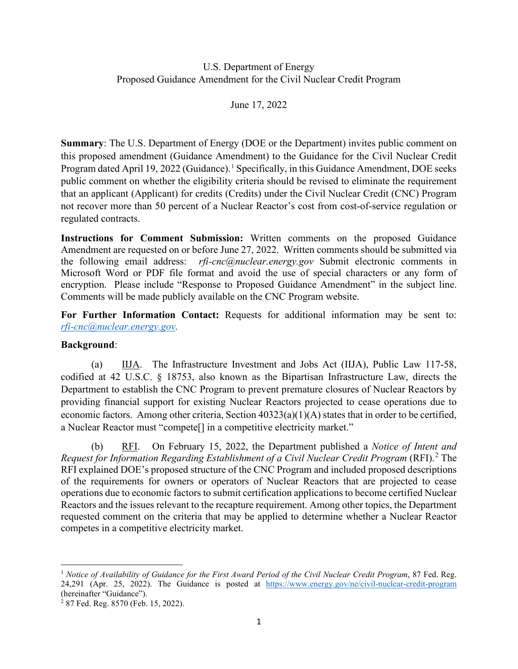### U.S. Department of Energy Proposed Guidance Amendment for the Civil Nuclear Credit Program

June 17, 2022

**Summary**: The U.S. Department of Energy (DOE or the Department) invites public comment on this proposed amendment (Guidance Amendment) to the Guidance for the Civil Nuclear Credit Program dated April [1](#page-0-0)9, 2022 (Guidance).<sup>1</sup> Specifically, in this Guidance Amendment, DOE seeks public comment on whether the eligibility criteria should be revised to eliminate the requirement that an applicant (Applicant) for credits (Credits) under the Civil Nuclear Credit (CNC) Program not recover more than 50 percent of a Nuclear Reactor's cost from cost-of-service regulation or regulated contracts.

**Instructions for Comment Submission:** Written comments on the proposed Guidance Amendment are requested on or before June 27, 2022. Written comments should be submitted via the following email address: *rfi-cnc@nuclear.energy.gov* Submit electronic comments in Microsoft Word or PDF file format and avoid the use of special characters or any form of encryption. Please include "Response to Proposed Guidance Amendment" in the subject line. Comments will be made publicly available on the CNC Program website.

**For Further Information Contact:** Requests for additional information may be sent to: *[rfi-cnc@nuclear.energy.gov.](mailto:rfi-cnc@nuclear.energy.gov)* 

### **Background**:

(a) IIJA. The Infrastructure Investment and Jobs Act (IIJA), Public Law 117-58, codified at 42 U.S.C. § 18753, also known as the Bipartisan Infrastructure Law, directs the Department to establish the CNC Program to prevent premature closures of Nuclear Reactors by providing financial support for existing Nuclear Reactors projected to cease operations due to economic factors. Among other criteria, Section 40323(a)(1)(A) states that in order to be certified, a Nuclear Reactor must "compete[] in a competitive electricity market."

(b) RFI. On February 15, 2022, the Department published a *Notice of Intent and Request for Information Regarding Establishment of a Civil Nuclear Credit Program* (RFI).<sup>[2](#page-0-1)</sup> The RFI explained DOE's proposed structure of the CNC Program and included proposed descriptions of the requirements for owners or operators of Nuclear Reactors that are projected to cease operations due to economic factors to submit certification applications to become certified Nuclear Reactors and the issues relevant to the recapture requirement. Among other topics, the Department requested comment on the criteria that may be applied to determine whether a Nuclear Reactor competes in a competitive electricity market.

<span id="page-0-0"></span><sup>1</sup> *Notice of Availability of Guidance for the First Award Period of the Civil Nuclear Credit Program*, 87 Fed. Reg. 24,291 (Apr. 25, 2022). The Guidance is posted at <https://www.energy.gov/ne/civil-nuclear-credit-program> (hereinafter "Guidance").

<span id="page-0-1"></span><sup>2</sup> 87 Fed. Reg. 8570 (Feb. 15, 2022).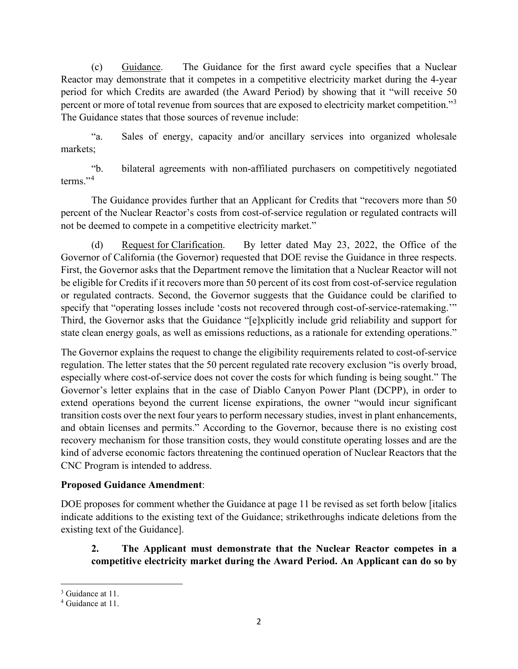(c) Guidance. The Guidance for the first award cycle specifies that a Nuclear Reactor may demonstrate that it competes in a competitive electricity market during the 4-year period for which Credits are awarded (the Award Period) by showing that it "will receive 50 percent or more of total revenue from sources that are exposed to electricity market competition."[3](#page-1-0) The Guidance states that those sources of revenue include:

"a. Sales of energy, capacity and/or ancillary services into organized wholesale markets;

"b. bilateral agreements with non-affiliated purchasers on competitively negotiated terms."<sup>[4](#page-1-1)</sup>

The Guidance provides further that an Applicant for Credits that "recovers more than 50 percent of the Nuclear Reactor's costs from cost-of-service regulation or regulated contracts will not be deemed to compete in a competitive electricity market."

(d) Request for Clarification. By letter dated May 23, 2022, the Office of the Governor of California (the Governor) requested that DOE revise the Guidance in three respects. First, the Governor asks that the Department remove the limitation that a Nuclear Reactor will not be eligible for Credits if it recovers more than 50 percent of its cost from cost-of-service regulation or regulated contracts. Second, the Governor suggests that the Guidance could be clarified to specify that "operating losses include 'costs not recovered through cost-of-service-ratemaking.'" Third, the Governor asks that the Guidance "[e]xplicitly include grid reliability and support for state clean energy goals, as well as emissions reductions, as a rationale for extending operations."

The Governor explains the request to change the eligibility requirements related to cost-of-service regulation. The letter states that the 50 percent regulated rate recovery exclusion "is overly broad, especially where cost-of-service does not cover the costs for which funding is being sought." The Governor's letter explains that in the case of Diablo Canyon Power Plant (DCPP), in order to extend operations beyond the current license expirations, the owner "would incur significant transition costs over the next four years to perform necessary studies, invest in plant enhancements, and obtain licenses and permits." According to the Governor, because there is no existing cost recovery mechanism for those transition costs, they would constitute operating losses and are the kind of adverse economic factors threatening the continued operation of Nuclear Reactors that the CNC Program is intended to address.

### **Proposed Guidance Amendment**:

DOE proposes for comment whether the Guidance at page 11 be revised as set forth below [italics indicate additions to the existing text of the Guidance; strikethroughs indicate deletions from the existing text of the Guidance].

# **2. The Applicant must demonstrate that the Nuclear Reactor competes in a competitive electricity market during the Award Period. An Applicant can do so by**

<span id="page-1-0"></span><sup>&</sup>lt;sup>3</sup> Guidance at 11.

<span id="page-1-1"></span><sup>4</sup> Guidance at 11.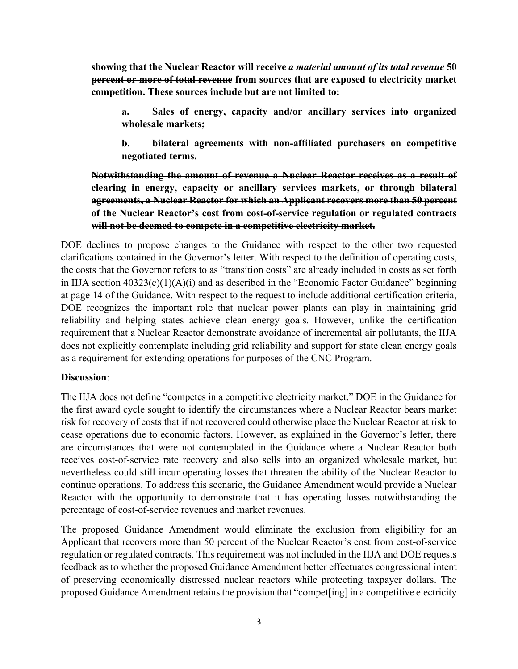**showing that the Nuclear Reactor will receive** *a material amount of its total revenue* **50 percent or more of total revenue from sources that are exposed to electricity market competition. These sources include but are not limited to:**

**a. Sales of energy, capacity and/or ancillary services into organized wholesale markets;**

**b. bilateral agreements with non-affiliated purchasers on competitive negotiated terms.**

**Notwithstanding the amount of revenue a Nuclear Reactor receives as a result of clearing in energy, capacity or ancillary services markets, or through bilateral agreements, a Nuclear Reactor for which an Applicant recovers more than 50 percent of the Nuclear Reactor's cost from cost-of-service regulation or regulated contracts will not be deemed to compete in a competitive electricity market.**

DOE declines to propose changes to the Guidance with respect to the other two requested clarifications contained in the Governor's letter. With respect to the definition of operating costs, the costs that the Governor refers to as "transition costs" are already included in costs as set forth in IIJA section  $40323(c)(1)(A)(i)$  and as described in the "Economic Factor Guidance" beginning at page 14 of the Guidance. With respect to the request to include additional certification criteria, DOE recognizes the important role that nuclear power plants can play in maintaining grid reliability and helping states achieve clean energy goals. However, unlike the certification requirement that a Nuclear Reactor demonstrate avoidance of incremental air pollutants, the IIJA does not explicitly contemplate including grid reliability and support for state clean energy goals as a requirement for extending operations for purposes of the CNC Program.

### **Discussion**:

The IIJA does not define "competes in a competitive electricity market." DOE in the Guidance for the first award cycle sought to identify the circumstances where a Nuclear Reactor bears market risk for recovery of costs that if not recovered could otherwise place the Nuclear Reactor at risk to cease operations due to economic factors. However, as explained in the Governor's letter, there are circumstances that were not contemplated in the Guidance where a Nuclear Reactor both receives cost-of-service rate recovery and also sells into an organized wholesale market, but nevertheless could still incur operating losses that threaten the ability of the Nuclear Reactor to continue operations. To address this scenario, the Guidance Amendment would provide a Nuclear Reactor with the opportunity to demonstrate that it has operating losses notwithstanding the percentage of cost-of-service revenues and market revenues.

The proposed Guidance Amendment would eliminate the exclusion from eligibility for an Applicant that recovers more than 50 percent of the Nuclear Reactor's cost from cost-of-service regulation or regulated contracts. This requirement was not included in the IIJA and DOE requests feedback as to whether the proposed Guidance Amendment better effectuates congressional intent of preserving economically distressed nuclear reactors while protecting taxpayer dollars. The proposed Guidance Amendment retains the provision that "compet[ing] in a competitive electricity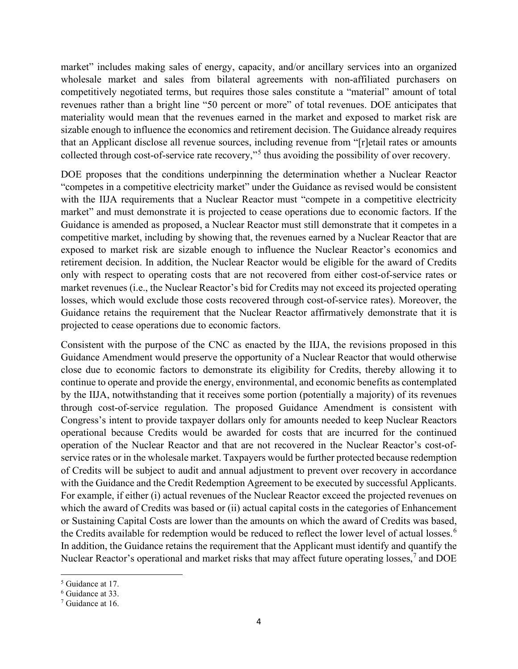market" includes making sales of energy, capacity, and/or ancillary services into an organized wholesale market and sales from bilateral agreements with non-affiliated purchasers on competitively negotiated terms, but requires those sales constitute a "material" amount of total revenues rather than a bright line "50 percent or more" of total revenues. DOE anticipates that materiality would mean that the revenues earned in the market and exposed to market risk are sizable enough to influence the economics and retirement decision. The Guidance already requires that an Applicant disclose all revenue sources, including revenue from "[r]etail rates or amounts collected through cost-of-service rate recovery,"[5](#page-3-0) thus avoiding the possibility of over recovery.

DOE proposes that the conditions underpinning the determination whether a Nuclear Reactor "competes in a competitive electricity market" under the Guidance as revised would be consistent with the IIJA requirements that a Nuclear Reactor must "compete in a competitive electricity market" and must demonstrate it is projected to cease operations due to economic factors. If the Guidance is amended as proposed, a Nuclear Reactor must still demonstrate that it competes in a competitive market, including by showing that, the revenues earned by a Nuclear Reactor that are exposed to market risk are sizable enough to influence the Nuclear Reactor's economics and retirement decision. In addition, the Nuclear Reactor would be eligible for the award of Credits only with respect to operating costs that are not recovered from either cost-of-service rates or market revenues (i.e., the Nuclear Reactor's bid for Credits may not exceed its projected operating losses, which would exclude those costs recovered through cost-of-service rates). Moreover, the Guidance retains the requirement that the Nuclear Reactor affirmatively demonstrate that it is projected to cease operations due to economic factors.

Consistent with the purpose of the CNC as enacted by the IIJA, the revisions proposed in this Guidance Amendment would preserve the opportunity of a Nuclear Reactor that would otherwise close due to economic factors to demonstrate its eligibility for Credits, thereby allowing it to continue to operate and provide the energy, environmental, and economic benefits as contemplated by the IIJA, notwithstanding that it receives some portion (potentially a majority) of its revenues through cost-of-service regulation. The proposed Guidance Amendment is consistent with Congress's intent to provide taxpayer dollars only for amounts needed to keep Nuclear Reactors operational because Credits would be awarded for costs that are incurred for the continued operation of the Nuclear Reactor and that are not recovered in the Nuclear Reactor's cost-ofservice rates or in the wholesale market. Taxpayers would be further protected because redemption of Credits will be subject to audit and annual adjustment to prevent over recovery in accordance with the Guidance and the Credit Redemption Agreement to be executed by successful Applicants. For example, if either (i) actual revenues of the Nuclear Reactor exceed the projected revenues on which the award of Credits was based or (ii) actual capital costs in the categories of Enhancement or Sustaining Capital Costs are lower than the amounts on which the award of Credits was based, the Credits available for redemption would be reduced to reflect the lower level of actual losses.<sup>[6](#page-3-1)</sup> In addition, the Guidance retains the requirement that the Applicant must identify and quantify the Nuclear Reactor's operational and market risks that may affect future operating losses,<sup>[7](#page-3-2)</sup> and DOE

<span id="page-3-0"></span><sup>5</sup> Guidance at 17.

<span id="page-3-1"></span><sup>6</sup> Guidance at 33.

<span id="page-3-2"></span><sup>7</sup> Guidance at 16.